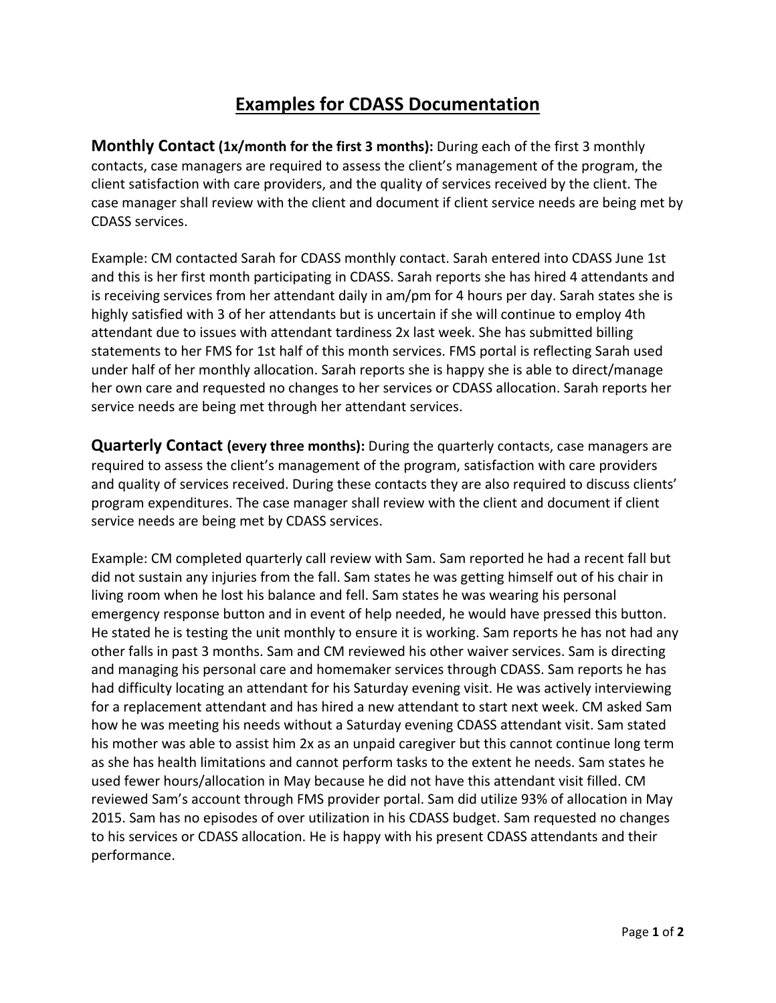## **Examples for CDASS Documentation**

**Monthly Contact (1x/month for the first 3 months):** During each of the first 3 monthly contacts, case managers are required to assess the client's management of the program, the client satisfaction with care providers, and the quality of services received by the client. The case manager shall review with the client and document if client service needs are being met by CDASS services.

Example: CM contacted Sarah for CDASS monthly contact. Sarah entered into CDASS June 1st and this is her first month participating in CDASS. Sarah reports she has hired 4 attendants and is receiving services from her attendant daily in am/pm for 4 hours per day. Sarah states she is highly satisfied with 3 of her attendants but is uncertain if she will continue to employ 4th attendant due to issues with attendant tardiness 2x last week. She has submitted billing statements to her FMS for 1st half of this month services. FMS portal is reflecting Sarah used under half of her monthly allocation. Sarah reports she is happy she is able to direct/manage her own care and requested no changes to her services or CDASS allocation. Sarah reports her service needs are being met through her attendant services.

**Quarterly Contact (every three months):** During the quarterly contacts, case managers are required to assess the client's management of the program, satisfaction with care providers and quality of services received. During these contacts they are also required to discuss clients' program expenditures. The case manager shall review with the client and document if client service needs are being met by CDASS services.

Example: CM completed quarterly call review with Sam. Sam reported he had a recent fall but did not sustain any injuries from the fall. Sam states he was getting himself out of his chair in living room when he lost his balance and fell. Sam states he was wearing his personal emergency response button and in event of help needed, he would have pressed this button. He stated he is testing the unit monthly to ensure it is working. Sam reports he has not had any other falls in past 3 months. Sam and CM reviewed his other waiver services. Sam is directing and managing his personal care and homemaker services through CDASS. Sam reports he has had difficulty locating an attendant for his Saturday evening visit. He was actively interviewing for a replacement attendant and has hired a new attendant to start next week. CM asked Sam how he was meeting his needs without a Saturday evening CDASS attendant visit. Sam stated his mother was able to assist him 2x as an unpaid caregiver but this cannot continue long term as she has health limitations and cannot perform tasks to the extent he needs. Sam states he used fewer hours/allocation in May because he did not have this attendant visit filled. CM reviewed Sam's account through FMS provider portal. Sam did utilize 93% of allocation in May 2015. Sam has no episodes of over utilization in his CDASS budget. Sam requested no changes to his services or CDASS allocation. He is happy with his present CDASS attendants and their performance.